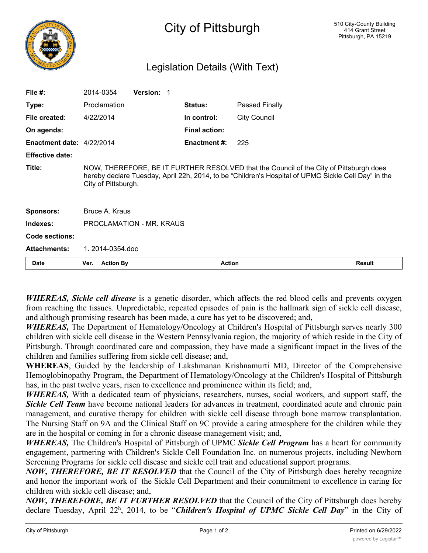

## City of Pittsburgh

## Legislation Details (With Text)

| File $#$ :                | 2014-0354                | Version: 1 |                      |                                                                                                                                                                                               |        |
|---------------------------|--------------------------|------------|----------------------|-----------------------------------------------------------------------------------------------------------------------------------------------------------------------------------------------|--------|
| Type:                     | Proclamation             |            | <b>Status:</b>       | Passed Finally                                                                                                                                                                                |        |
| File created:             | 4/22/2014                |            | In control:          | City Council                                                                                                                                                                                  |        |
| On agenda:                |                          |            | <b>Final action:</b> |                                                                                                                                                                                               |        |
| Enactment date: 4/22/2014 |                          |            | <b>Enactment #:</b>  | 225                                                                                                                                                                                           |        |
| <b>Effective date:</b>    |                          |            |                      |                                                                                                                                                                                               |        |
| Title:                    | City of Pittsburgh.      |            |                      | NOW, THEREFORE, BE IT FURTHER RESOLVED that the Council of the City of Pittsburgh does<br>hereby declare Tuesday, April 22h, 2014, to be "Children's Hospital of UPMC Sickle Cell Day" in the |        |
| <b>Sponsors:</b>          | Bruce A. Kraus           |            |                      |                                                                                                                                                                                               |        |
| Indexes:                  | PROCLAMATION - MR. KRAUS |            |                      |                                                                                                                                                                                               |        |
| Code sections:            |                          |            |                      |                                                                                                                                                                                               |        |
| <b>Attachments:</b>       | 1.2014-0354.doc          |            |                      |                                                                                                                                                                                               |        |
| Date                      | <b>Action By</b><br>Ver. |            | <b>Action</b>        |                                                                                                                                                                                               | Result |

*WHEREAS, Sickle cell disease* is a genetic disorder, which affects the red blood cells and prevents oxygen from reaching the tissues. Unpredictable, repeated episodes of pain is the hallmark sign of sickle cell disease, and although promising research has been made, a cure has yet to be discovered; and,

*WHEREAS,* The Department of Hematology/Oncology at Children's Hospital of Pittsburgh serves nearly 300 children with sickle cell disease in the Western Pennsylvania region, the majority of which reside in the City of Pittsburgh. Through coordinated care and compassion, they have made a significant impact in the lives of the children and families suffering from sickle cell disease; and,

**WHEREAS**, Guided by the leadership of Lakshmanan Krishnamurti MD, Director of the Comprehensive Hemoglobinopathy Program, the Department of Hematology/Oncology at the Children's Hospital of Pittsburgh has, in the past twelve years, risen to excellence and prominence within its field; and,

*WHEREAS,* With a dedicated team of physicians, researchers, nurses, social workers, and support staff, the *Sickle Cell Team* have become national leaders for advances in treatment, coordinated acute and chronic pain management, and curative therapy for children with sickle cell disease through bone marrow transplantation. The Nursing Staff on 9A and the Clinical Staff on 9C provide a caring atmosphere for the children while they are in the hospital or coming in for a chronic disease management visit; and,

*WHEREAS,* The Children's Hospital of Pittsburgh of UPMC *Sickle Cell Program* has a heart for community engagement, partnering with Children's Sickle Cell Foundation Inc. on numerous projects, including Newborn Screening Programs for sickle cell disease and sickle cell trait and educational support programs.

*NOW, THEREFORE, BE IT RESOLVED* that the Council of the City of Pittsburgh does hereby recognize and honor the important work of the Sickle Cell Department and their commitment to excellence in caring for children with sickle cell disease; and,

*NOW, THEREFORE, BE IT FURTHER RESOLVED* that the Council of the City of Pittsburgh does hereby declare Tuesday, April 22h , 2014, to be "*Children's Hospital of UPMC Sickle Cell Day*" in the City of